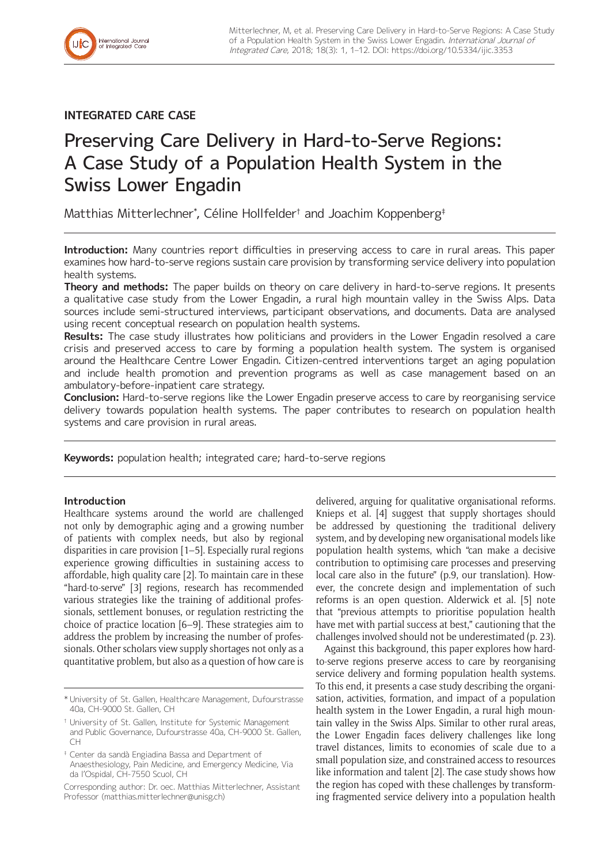

# **INTEGRATED CARE CASE**

# Preserving Care Delivery in Hard-to-Serve Regions: A Case Study of a Population Health System in the Swiss Lower Engadin

Matthias Mitterlechner\* , Céline Hollfelder† and Joachim Koppenberg‡

**Introduction:** Many countries report difficulties in preserving access to care in rural areas. This paper examines how hard-to-serve regions sustain care provision by transforming service delivery into population health systems.

**Theory and methods:** The paper builds on theory on care delivery in hard-to-serve regions. It presents a qualitative case study from the Lower Engadin, a rural high mountain valley in the Swiss Alps. Data sources include semi-structured interviews, participant observations, and documents. Data are analysed using recent conceptual research on population health systems.

**Results:** The case study illustrates how politicians and providers in the Lower Engadin resolved a care crisis and preserved access to care by forming a population health system. The system is organised around the Healthcare Centre Lower Engadin. Citizen-centred interventions target an aging population and include health promotion and prevention programs as well as case management based on an ambulatory-before-inpatient care strategy.

**Conclusion:** Hard-to-serve regions like the Lower Engadin preserve access to care by reorganising service delivery towards population health systems. The paper contributes to research on population health systems and care provision in rural areas.

**Keywords:** population health; integrated care; hard-to-serve regions

# **Introduction**

Healthcare systems around the world are challenged not only by demographic aging and a growing number of patients with complex needs, but also by regional disparities in care provision [1–5]. Especially rural regions experience growing difficulties in sustaining access to affordable, high quality care [2]. To maintain care in these "hard-to-serve" [3] regions, research has recommended various strategies like the training of additional professionals, settlement bonuses, or regulation restricting the choice of practice location [6–9]. These strategies aim to address the problem by increasing the number of professionals. Other scholars view supply shortages not only as a quantitative problem, but also as a question of how care is delivered, arguing for qualitative organisational reforms. Knieps et al. [4] suggest that supply shortages should be addressed by questioning the traditional delivery system, and by developing new organisational models like population health systems, which "can make a decisive contribution to optimising care processes and preserving local care also in the future" (p.9, our translation). However, the concrete design and implementation of such reforms is an open question. Alderwick et al. [5] note that "previous attempts to prioritise population health have met with partial success at best," cautioning that the challenges involved should not be underestimated (p. 23).

Against this background, this paper explores how hardto-serve regions preserve access to care by reorganising service delivery and forming population health systems. To this end, it presents a case study describing the organisation, activities, formation, and impact of a population health system in the Lower Engadin, a rural high mountain valley in the Swiss Alps. Similar to other rural areas, the Lower Engadin faces delivery challenges like long travel distances, limits to economies of scale due to a small population size, and constrained access to resources like information and talent [2]. The case study shows how the region has coped with these challenges by transforming fragmented service delivery into a population health

<sup>\*</sup> University of St. Gallen, Healthcare Management, Dufourstrasse 40a, CH-9000 St. Gallen, CH

<sup>†</sup> University of St. Gallen, Institute for Systemic Management and Public Governance, Dufourstrasse 40a, CH-9000 St. Gallen, CH

<sup>‡</sup> Center da sandà Engiadina Bassa and Department of Anaesthesiology, Pain Medicine, and Emergency Medicine, Via da l'Ospidal, CH-7550 Scuol, CH

Corresponding author: Dr. oec. Matthias Mitterlechner, Assistant Professor [\(matthias.mitterlechner@unisg.ch](mailto:matthias.mitterlechner@unisg.ch))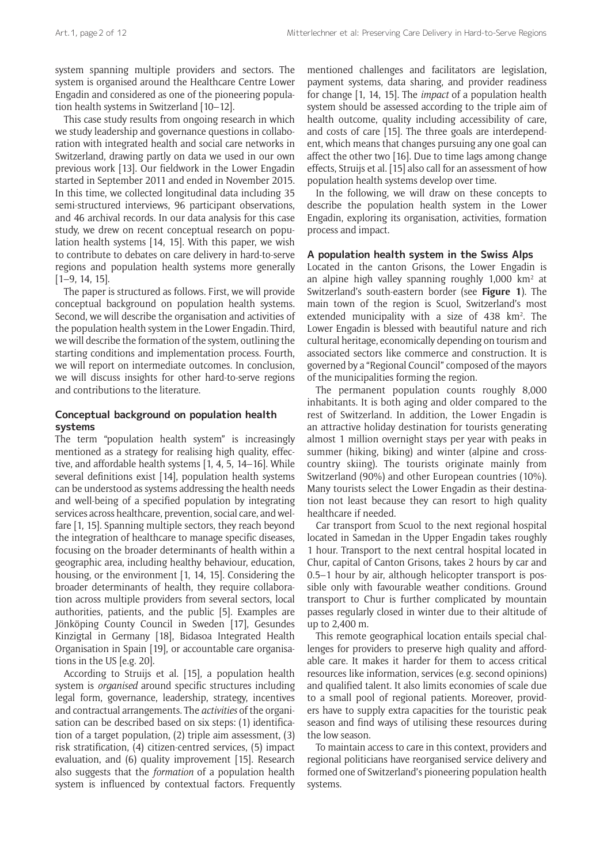system spanning multiple providers and sectors. The system is organised around the Healthcare Centre Lower Engadin and considered as one of the pioneering population health systems in Switzerland [10–12].

This case study results from ongoing research in which we study leadership and governance questions in collaboration with integrated health and social care networks in Switzerland, drawing partly on data we used in our own previous work [13]. Our fieldwork in the Lower Engadin started in September 2011 and ended in November 2015. In this time, we collected longitudinal data including 35 semi-structured interviews, 96 participant observations, and 46 archival records. In our data analysis for this case study, we drew on recent conceptual research on population health systems [14, 15]. With this paper, we wish to contribute to debates on care delivery in hard-to-serve regions and population health systems more generally [1–9, 14, 15].

The paper is structured as follows. First, we will provide conceptual background on population health systems. Second, we will describe the organisation and activities of the population health system in the Lower Engadin. Third, we will describe the formation of the system, outlining the starting conditions and implementation process. Fourth, we will report on intermediate outcomes. In conclusion, we will discuss insights for other hard-to-serve regions and contributions to the literature.

# **Conceptual background on population health systems**

The term "population health system" is increasingly mentioned as a strategy for realising high quality, effective, and affordable health systems [1, 4, 5, 14–16]. While several definitions exist [14], population health systems can be understood as systems addressing the health needs and well-being of a specified population by integrating services across healthcare, prevention, social care, and welfare [1, 15]. Spanning multiple sectors, they reach beyond the integration of healthcare to manage specific diseases, focusing on the broader determinants of health within a geographic area, including healthy behaviour, education, housing, or the environment [1, 14, 15]. Considering the broader determinants of health, they require collaboration across multiple providers from several sectors, local authorities, patients, and the public [5]. Examples are Jönköping County Council in Sweden [17], Gesundes Kinzigtal in Germany [18], Bidasoa Integrated Health Organisation in Spain [19], or accountable care organisations in the US [e.g. 20].

According to Struijs et al. [15], a population health system is *organised* around specific structures including legal form, governance, leadership, strategy, incentives and contractual arrangements. The *activities* of the organisation can be described based on six steps: (1) identification of a target population, (2) triple aim assessment, (3) risk stratification, (4) citizen-centred services, (5) impact evaluation, and (6) quality improvement [15]. Research also suggests that the *formation* of a population health system is influenced by contextual factors. Frequently mentioned challenges and facilitators are legislation, payment systems, data sharing, and provider readiness for change [1, 14, 15]. The *impact* of a population health system should be assessed according to the triple aim of health outcome, quality including accessibility of care, and costs of care [15]. The three goals are interdependent, which means that changes pursuing any one goal can affect the other two [16]. Due to time lags among change effects, Struijs et al. [15] also call for an assessment of how population health systems develop over time.

In the following, we will draw on these concepts to describe the population health system in the Lower Engadin, exploring its organisation, activities, formation process and impact.

### **A population health system in the Swiss Alps**

Located in the canton Grisons, the Lower Engadin is an alpine high valley spanning roughly  $1,000 \ \text{km}^2$  at Switzerland's south-eastern border (see **Figure 1**). The main town of the region is Scuol, Switzerland's most extended municipality with a size of  $438 \, \text{km}^2$ . The Lower Engadin is blessed with beautiful nature and rich cultural heritage, economically depending on tourism and associated sectors like commerce and construction. It is governed by a "Regional Council" composed of the mayors of the municipalities forming the region.

The permanent population counts roughly 8,000 inhabitants. It is both aging and older compared to the rest of Switzerland. In addition, the Lower Engadin is an attractive holiday destination for tourists generating almost 1 million overnight stays per year with peaks in summer (hiking, biking) and winter (alpine and crosscountry skiing). The tourists originate mainly from Switzerland (90%) and other European countries (10%). Many tourists select the Lower Engadin as their destination not least because they can resort to high quality healthcare if needed.

Car transport from Scuol to the next regional hospital located in Samedan in the Upper Engadin takes roughly 1 hour. Transport to the next central hospital located in Chur, capital of Canton Grisons, takes 2 hours by car and 0.5–1 hour by air, although helicopter transport is possible only with favourable weather conditions. Ground transport to Chur is further complicated by mountain passes regularly closed in winter due to their altitude of up to 2,400 m.

This remote geographical location entails special challenges for providers to preserve high quality and affordable care. It makes it harder for them to access critical resources like information, services (e.g. second opinions) and qualified talent. It also limits economies of scale due to a small pool of regional patients. Moreover, providers have to supply extra capacities for the touristic peak season and find ways of utilising these resources during the low season.

To maintain access to care in this context, providers and regional politicians have reorganised service delivery and formed one of Switzerland's pioneering population health systems.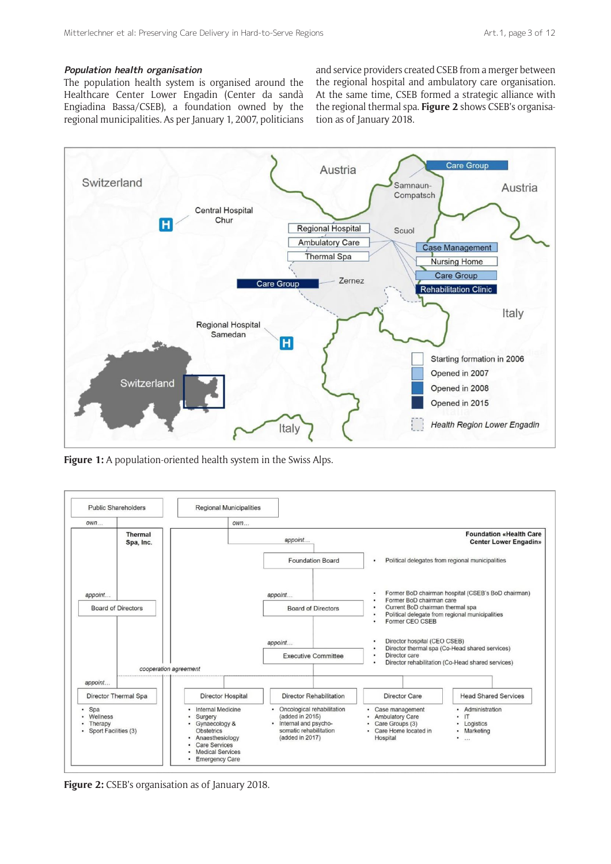# **Population health organisation**

The population health system is organised around the Healthcare Center Lower Engadin (Center da sandà Engiadina Bassa/CSEB), a foundation owned by the regional municipalities. As per January 1, 2007, politicians and service providers created CSEB from a merger between the regional hospital and ambulatory care organisation. At the same time, CSEB formed a strategic alliance with the regional thermal spa. **Figure 2** shows CSEB's organisation as of January 2018.



**Figure 1:** A population-oriented health system in the Swiss Alps.



**Figure 2:** CSEB's organisation as of January 2018.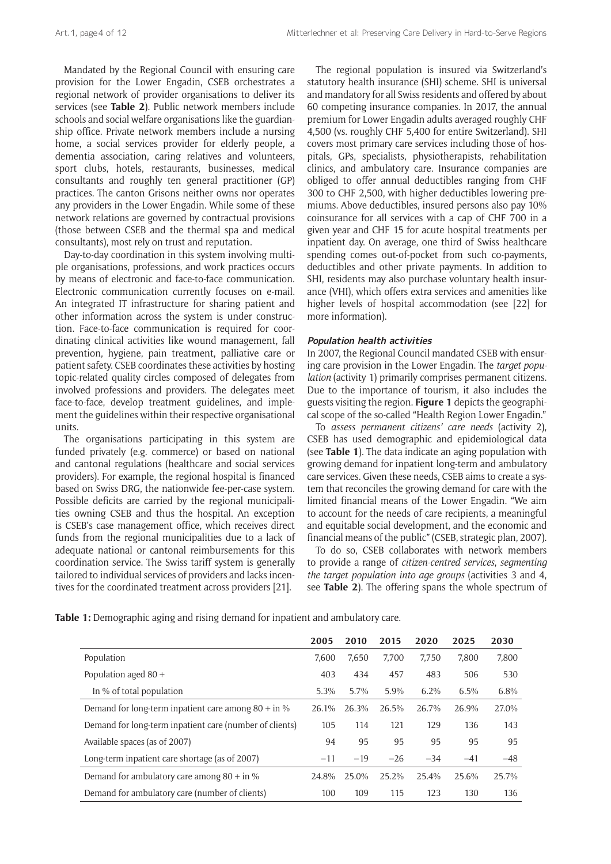Mandated by the Regional Council with ensuring care provision for the Lower Engadin, CSEB orchestrates a regional network of provider organisations to deliver its services (see **Table 2**). Public network members include schools and social welfare organisations like the guardianship office. Private network members include a nursing home, a social services provider for elderly people, a dementia association, caring relatives and volunteers, sport clubs, hotels, restaurants, businesses, medical consultants and roughly ten general practitioner (GP) practices. The canton Grisons neither owns nor operates any providers in the Lower Engadin. While some of these network relations are governed by contractual provisions (those between CSEB and the thermal spa and medical consultants), most rely on trust and reputation.

Day-to-day coordination in this system involving multiple organisations, professions, and work practices occurs by means of electronic and face-to-face communication. Electronic communication currently focuses on e-mail. An integrated IT infrastructure for sharing patient and other information across the system is under construction. Face-to-face communication is required for coordinating clinical activities like wound management, fall prevention, hygiene, pain treatment, palliative care or patient safety. CSEB coordinates these activities by hosting topic-related quality circles composed of delegates from involved professions and providers. The delegates meet face-to-face, develop treatment guidelines, and implement the guidelines within their respective organisational units.

The organisations participating in this system are funded privately (e.g. commerce) or based on national and cantonal regulations (healthcare and social services providers). For example, the regional hospital is financed based on Swiss DRG, the nationwide fee-per-case system. Possible deficits are carried by the regional municipalities owning CSEB and thus the hospital. An exception is CSEB's case management office, which receives direct funds from the regional municipalities due to a lack of adequate national or cantonal reimbursements for this coordination service. The Swiss tariff system is generally tailored to individual services of providers and lacks incentives for the coordinated treatment across providers [21].

The regional population is insured via Switzerland's statutory health insurance (SHI) scheme. SHI is universal and mandatory for all Swiss residents and offered by about 60 competing insurance companies. In 2017, the annual premium for Lower Engadin adults averaged roughly CHF 4,500 (vs. roughly CHF 5,400 for entire Switzerland). SHI covers most primary care services including those of hospitals, GPs, specialists, physiotherapists, rehabilitation clinics, and ambulatory care. Insurance companies are obliged to offer annual deductibles ranging from CHF 300 to CHF 2,500, with higher deductibles lowering premiums. Above deductibles, insured persons also pay 10% coinsurance for all services with a cap of CHF 700 in a given year and CHF 15 for acute hospital treatments per inpatient day. On average, one third of Swiss healthcare spending comes out-of-pocket from such co-payments, deductibles and other private payments. In addition to SHI, residents may also purchase voluntary health insurance (VHI), which offers extra services and amenities like higher levels of hospital accommodation (see [22] for more information).

#### **Population health activities**

In 2007, the Regional Council mandated CSEB with ensuring care provision in the Lower Engadin. The *target population* (activity 1) primarily comprises permanent citizens. Due to the importance of tourism, it also includes the guests visiting the region. **Figure 1** depicts the geographical scope of the so-called "Health Region Lower Engadin."

To *assess permanent citizens' care needs* (activity 2), CSEB has used demographic and epidemiological data (see **Table 1**). The data indicate an aging population with growing demand for inpatient long-term and ambulatory care services. Given these needs, CSEB aims to create a system that reconciles the growing demand for care with the limited financial means of the Lower Engadin. "We aim to account for the needs of care recipients, a meaningful and equitable social development, and the economic and financial means of the public" (CSEB, strategic plan, 2007).

To do so, CSEB collaborates with network members to provide a range of *citizen-centred services*, *segmenting the target population into age groups* (activities 3 and 4, see **Table 2**). The offering spans the whole spectrum of

|  |  |  |  |  |  | Table 1: Demographic aging and rising demand for inpatient and ambulatory care. |  |
|--|--|--|--|--|--|---------------------------------------------------------------------------------|--|
|--|--|--|--|--|--|---------------------------------------------------------------------------------|--|

|                                                         | 2005  | 2010  | 2015  | 2020  | 2025  | 2030  |
|---------------------------------------------------------|-------|-------|-------|-------|-------|-------|
| Population                                              | 7.600 | 7,650 | 7,700 | 7,750 | 7,800 | 7,800 |
| Population aged $80 +$                                  | 403   | 434   | 457   | 483   | 506   | 530   |
| In % of total population                                | 5.3%  | 5.7%  | 5.9%  | 6.2%  | 6.5%  | 6.8%  |
| Demand for long-term inpatient care among $80 + in \%$  | 26.1% | 26.3% | 26.5% | 26.7% | 26.9% | 27.0% |
| Demand for long-term inpatient care (number of clients) | 105   | 114   | 121   | 129   | 136   | 143   |
| Available spaces (as of 2007)                           | 94    | 95    | 95    | 95    | 95    | 95    |
| Long-term inpatient care shortage (as of 2007)          | $-11$ | $-19$ | $-26$ | $-34$ | $-41$ | $-48$ |
| Demand for ambulatory care among $80 + in \%$           | 24.8% | 25.0% | 25.2% | 25.4% | 25.6% | 25.7% |
| Demand for ambulatory care (number of clients)          | 100   | 109   | 115   | 123   | 130   | 136   |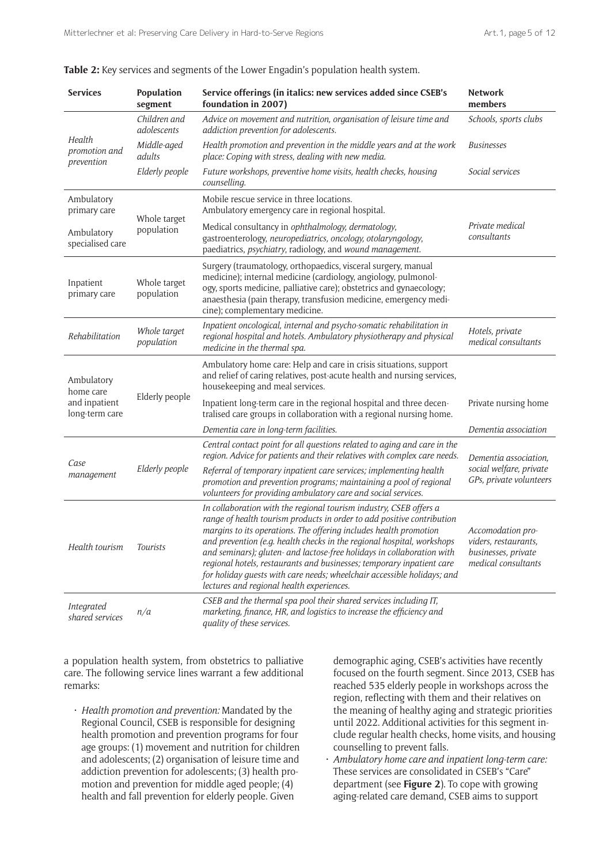| <b>Services</b>                       | Population<br>segment       | Service offerings (in italics: new services added since CSEB's<br>foundation in 2007)                                                                                                                                                                                                                                                                                                                                                                                                                                                                                  | <b>Network</b><br>members                                                               |  |
|---------------------------------------|-----------------------------|------------------------------------------------------------------------------------------------------------------------------------------------------------------------------------------------------------------------------------------------------------------------------------------------------------------------------------------------------------------------------------------------------------------------------------------------------------------------------------------------------------------------------------------------------------------------|-----------------------------------------------------------------------------------------|--|
|                                       | Children and<br>adolescents | Advice on movement and nutrition, organisation of leisure time and<br>addiction prevention for adolescents.                                                                                                                                                                                                                                                                                                                                                                                                                                                            | Schools, sports clubs                                                                   |  |
| Health<br>promotion and<br>prevention | Middle-aged<br>adults       | Health promotion and prevention in the middle years and at the work<br>place: Coping with stress, dealing with new media.                                                                                                                                                                                                                                                                                                                                                                                                                                              | <b>Businesses</b>                                                                       |  |
|                                       | Elderly people              | Future workshops, preventive home visits, health checks, housing<br>counselling.                                                                                                                                                                                                                                                                                                                                                                                                                                                                                       | Social services                                                                         |  |
| Ambulatory<br>primary care            |                             | Mobile rescue service in three locations.<br>Ambulatory emergency care in regional hospital.                                                                                                                                                                                                                                                                                                                                                                                                                                                                           |                                                                                         |  |
| Ambulatory<br>specialised care        | Whole target<br>population  | Medical consultancy in ophthalmology, dermatology,<br>gastroenterology, neuropediatrics, oncology, otolaryngology,<br>paediatrics, psychiatry, radiology, and wound management.                                                                                                                                                                                                                                                                                                                                                                                        | Private medical<br>consultants                                                          |  |
| Inpatient<br>primary care             | Whole target<br>population  | Surgery (traumatology, orthopaedics, visceral surgery, manual<br>medicine); internal medicine (cardiology, angiology, pulmonol-<br>ogy, sports medicine, palliative care); obstetrics and gynaecology;<br>anaesthesia (pain therapy, transfusion medicine, emergency medi-<br>cine); complementary medicine.                                                                                                                                                                                                                                                           |                                                                                         |  |
| Rehabilitation                        | Whole target<br>population  | Inpatient oncological, internal and psycho-somatic rehabilitation in<br>regional hospital and hotels. Ambulatory physiotherapy and physical<br>medicine in the thermal spa.                                                                                                                                                                                                                                                                                                                                                                                            | Hotels, private<br>medical consultants                                                  |  |
| Ambulatory<br>home care               |                             | Ambulatory home care: Help and care in crisis situations, support<br>and relief of caring relatives, post-acute health and nursing services,<br>housekeeping and meal services.                                                                                                                                                                                                                                                                                                                                                                                        |                                                                                         |  |
| and inpatient<br>long-term care       | Elderly people              | Inpatient long-term care in the regional hospital and three decen-<br>tralised care groups in collaboration with a regional nursing home.                                                                                                                                                                                                                                                                                                                                                                                                                              | Private nursing home                                                                    |  |
|                                       |                             | Dementia care in long-term facilities.                                                                                                                                                                                                                                                                                                                                                                                                                                                                                                                                 | Dementia association                                                                    |  |
|                                       |                             | Central contact point for all questions related to aging and care in the<br>region. Advice for patients and their relatives with complex care needs.                                                                                                                                                                                                                                                                                                                                                                                                                   | Dementia association,<br>social welfare, private<br>GPs, private volunteers             |  |
| Case<br>management                    | Elderly people              | Referral of temporary inpatient care services; implementing health<br>promotion and prevention programs; maintaining a pool of regional<br>volunteers for providing ambulatory care and social services.                                                                                                                                                                                                                                                                                                                                                               |                                                                                         |  |
| Health tourism                        | <b>Tourists</b>             | In collaboration with the regional tourism industry, CSEB offers a<br>range of health tourism products in order to add positive contribution<br>margins to its operations. The offering includes health promotion<br>and prevention (e.g. health checks in the regional hospital, workshops<br>and seminars); gluten- and lactose-free holidays in collaboration with<br>regional hotels, restaurants and businesses; temporary inpatient care<br>for holiday guests with care needs; wheelchair accessible holidays; and<br>lectures and regional health experiences. | Accomodation pro-<br>viders, restaurants,<br>businesses, private<br>medical consultants |  |
| <i>Integrated</i><br>shared services  | n/a                         | CSEB and the thermal spa pool their shared services including IT,<br>marketing, finance, HR, and logistics to increase the efficiency and<br>quality of these services.                                                                                                                                                                                                                                                                                                                                                                                                |                                                                                         |  |

**Table 2:** Key services and segments of the Lower Engadin's population health system.

a population health system, from obstetrics to palliative care. The following service lines warrant a few additional remarks:

• *Health promotion and prevention:* Mandated by the Regional Council, CSEB is responsible for designing health promotion and prevention programs for four age groups: (1) movement and nutrition for children and adolescents; (2) organisation of leisure time and addiction prevention for adolescents; (3) health promotion and prevention for middle aged people; (4) health and fall prevention for elderly people. Given

demographic aging, CSEB's activities have recently focused on the fourth segment. Since 2013, CSEB has reached 535 elderly people in workshops across the region, reflecting with them and their relatives on the meaning of healthy aging and strategic priorities until 2022. Additional activities for this segment include regular health checks, home visits, and housing counselling to prevent falls.

• *Ambulatory home care and inpatient long-term care:* These services are consolidated in CSEB's "Care" department (see **Figure 2**). To cope with growing aging-related care demand, CSEB aims to support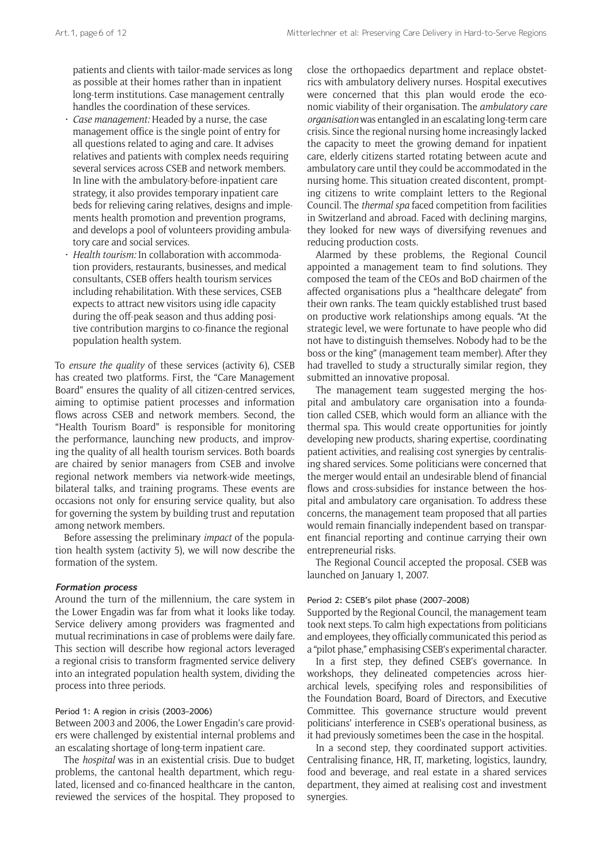patients and clients with tailor-made services as long as possible at their homes rather than in inpatient long-term institutions. Case management centrally handles the coordination of these services.

- *Case management:* Headed by a nurse, the case management office is the single point of entry for all questions related to aging and care. It advises relatives and patients with complex needs requiring several services across CSEB and network members. In line with the ambulatory-before-inpatient care strategy, it also provides temporary inpatient care beds for relieving caring relatives, designs and implements health promotion and prevention programs, and develops a pool of volunteers providing ambulatory care and social services.
- *Health tourism:* In collaboration with accommodation providers, restaurants, businesses, and medical consultants, CSEB offers health tourism services including rehabilitation. With these services, CSEB expects to attract new visitors using idle capacity during the off-peak season and thus adding positive contribution margins to co-finance the regional population health system.

To *ensure the quality* of these services (activity 6), CSEB has created two platforms. First, the "Care Management Board" ensures the quality of all citizen-centred services, aiming to optimise patient processes and information flows across CSEB and network members. Second, the "Health Tourism Board" is responsible for monitoring the performance, launching new products, and improving the quality of all health tourism services. Both boards are chaired by senior managers from CSEB and involve regional network members via network-wide meetings, bilateral talks, and training programs. These events are occasions not only for ensuring service quality, but also for governing the system by building trust and reputation among network members.

Before assessing the preliminary *impact* of the population health system (activity 5), we will now describe the formation of the system.

#### **Formation process**

Around the turn of the millennium, the care system in the Lower Engadin was far from what it looks like today. Service delivery among providers was fragmented and mutual recriminations in case of problems were daily fare. This section will describe how regional actors leveraged a regional crisis to transform fragmented service delivery into an integrated population health system, dividing the process into three periods.

#### Period 1: A region in crisis (2003–2006)

Between 2003 and 2006, the Lower Engadin's care providers were challenged by existential internal problems and an escalating shortage of long-term inpatient care.

The *hospital* was in an existential crisis. Due to budget problems, the cantonal health department, which regulated, licensed and co-financed healthcare in the canton, reviewed the services of the hospital. They proposed to

close the orthopaedics department and replace obstetrics with ambulatory delivery nurses. Hospital executives were concerned that this plan would erode the economic viability of their organisation. The *ambulatory care organisation* was entangled in an escalating long-term care crisis. Since the regional nursing home increasingly lacked the capacity to meet the growing demand for inpatient care, elderly citizens started rotating between acute and ambulatory care until they could be accommodated in the nursing home. This situation created discontent, prompting citizens to write complaint letters to the Regional Council. The *thermal spa* faced competition from facilities in Switzerland and abroad. Faced with declining margins, they looked for new ways of diversifying revenues and reducing production costs.

Alarmed by these problems, the Regional Council appointed a management team to find solutions. They composed the team of the CEOs and BoD chairmen of the affected organisations plus a "healthcare delegate" from their own ranks. The team quickly established trust based on productive work relationships among equals. "At the strategic level, we were fortunate to have people who did not have to distinguish themselves. Nobody had to be the boss or the king" (management team member). After they had travelled to study a structurally similar region, they submitted an innovative proposal.

The management team suggested merging the hospital and ambulatory care organisation into a foundation called CSEB, which would form an alliance with the thermal spa. This would create opportunities for jointly developing new products, sharing expertise, coordinating patient activities, and realising cost synergies by centralising shared services. Some politicians were concerned that the merger would entail an undesirable blend of financial flows and cross-subsidies for instance between the hospital and ambulatory care organisation. To address these concerns, the management team proposed that all parties would remain financially independent based on transparent financial reporting and continue carrying their own entrepreneurial risks.

The Regional Council accepted the proposal. CSEB was launched on January 1, 2007.

#### Period 2: CSEB's pilot phase (2007–2008)

Supported by the Regional Council, the management team took next steps. To calm high expectations from politicians and employees, they officially communicated this period as a "pilot phase," emphasising CSEB's experimental character.

In a first step, they defined CSEB's governance. In workshops, they delineated competencies across hierarchical levels, specifying roles and responsibilities of the Foundation Board, Board of Directors, and Executive Committee. This governance structure would prevent politicians' interference in CSEB's operational business, as it had previously sometimes been the case in the hospital.

In a second step, they coordinated support activities. Centralising finance, HR, IT, marketing, logistics, laundry, food and beverage, and real estate in a shared services department, they aimed at realising cost and investment synergies.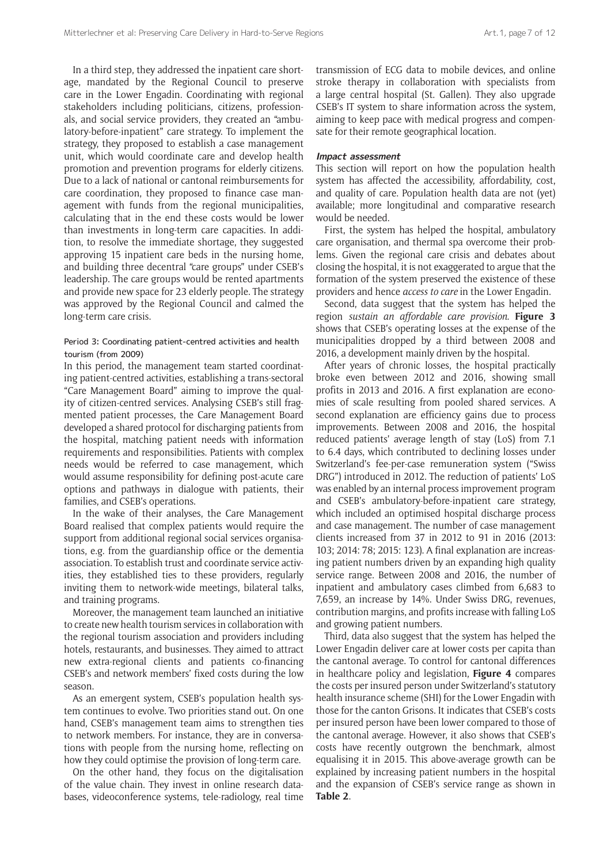In a third step, they addressed the inpatient care shortage, mandated by the Regional Council to preserve care in the Lower Engadin. Coordinating with regional stakeholders including politicians, citizens, professionals, and social service providers, they created an "ambulatory-before-inpatient" care strategy. To implement the strategy, they proposed to establish a case management unit, which would coordinate care and develop health promotion and prevention programs for elderly citizens. Due to a lack of national or cantonal reimbursements for care coordination, they proposed to finance case management with funds from the regional municipalities, calculating that in the end these costs would be lower than investments in long-term care capacities. In addition, to resolve the immediate shortage, they suggested approving 15 inpatient care beds in the nursing home, and building three decentral "care groups" under CSEB's leadership. The care groups would be rented apartments and provide new space for 23 elderly people. The strategy was approved by the Regional Council and calmed the long-term care crisis.

#### Period 3: Coordinating patient-centred activities and health tourism (from 2009)

In this period, the management team started coordinating patient-centred activities, establishing a trans-sectoral "Care Management Board" aiming to improve the quality of citizen-centred services. Analysing CSEB's still fragmented patient processes, the Care Management Board developed a shared protocol for discharging patients from the hospital, matching patient needs with information requirements and responsibilities. Patients with complex needs would be referred to case management, which would assume responsibility for defining post-acute care options and pathways in dialogue with patients, their families, and CSEB's operations.

In the wake of their analyses, the Care Management Board realised that complex patients would require the support from additional regional social services organisations, e.g. from the guardianship office or the dementia association. To establish trust and coordinate service activities, they established ties to these providers, regularly inviting them to network-wide meetings, bilateral talks, and training programs.

Moreover, the management team launched an initiative to create new health tourism services in collaboration with the regional tourism association and providers including hotels, restaurants, and businesses. They aimed to attract new extra-regional clients and patients co-financing CSEB's and network members' fixed costs during the low season.

As an emergent system, CSEB's population health system continues to evolve. Two priorities stand out. On one hand, CSEB's management team aims to strengthen ties to network members. For instance, they are in conversations with people from the nursing home, reflecting on how they could optimise the provision of long-term care.

On the other hand, they focus on the digitalisation of the value chain. They invest in online research databases, videoconference systems, tele-radiology, real time transmission of ECG data to mobile devices, and online stroke therapy in collaboration with specialists from a large central hospital (St. Gallen). They also upgrade CSEB's IT system to share information across the system, aiming to keep pace with medical progress and compensate for their remote geographical location.

#### **Impact assessment**

This section will report on how the population health system has affected the accessibility, affordability, cost, and quality of care. Population health data are not (yet) available; more longitudinal and comparative research would be needed.

First, the system has helped the hospital, ambulatory care organisation, and thermal spa overcome their problems. Given the regional care crisis and debates about closing the hospital, it is not exaggerated to argue that the formation of the system preserved the existence of these providers and hence *access to care* in the Lower Engadin.

Second, data suggest that the system has helped the region *sustain an affordable care provision*. **Figure 3** shows that CSEB's operating losses at the expense of the municipalities dropped by a third between 2008 and 2016, a development mainly driven by the hospital.

After years of chronic losses, the hospital practically broke even between 2012 and 2016, showing small profits in 2013 and 2016. A first explanation are economies of scale resulting from pooled shared services. A second explanation are efficiency gains due to process improvements. Between 2008 and 2016, the hospital reduced patients' average length of stay (LoS) from 7.1 to 6.4 days, which contributed to declining losses under Switzerland's fee-per-case remuneration system ("Swiss DRG") introduced in 2012. The reduction of patients' LoS was enabled by an internal process improvement program and CSEB's ambulatory-before-inpatient care strategy, which included an optimised hospital discharge process and case management. The number of case management clients increased from 37 in 2012 to 91 in 2016 (2013: 103; 2014: 78; 2015: 123). A final explanation are increasing patient numbers driven by an expanding high quality service range. Between 2008 and 2016, the number of inpatient and ambulatory cases climbed from 6,683 to 7,659, an increase by 14%. Under Swiss DRG, revenues, contribution margins, and profits increase with falling LoS and growing patient numbers.

Third, data also suggest that the system has helped the Lower Engadin deliver care at lower costs per capita than the cantonal average. To control for cantonal differences in healthcare policy and legislation, **Figure 4** compares the costs per insured person under Switzerland's statutory health insurance scheme (SHI) for the Lower Engadin with those for the canton Grisons. It indicates that CSEB's costs per insured person have been lower compared to those of the cantonal average. However, it also shows that CSEB's costs have recently outgrown the benchmark, almost equalising it in 2015. This above-average growth can be explained by increasing patient numbers in the hospital and the expansion of CSEB's service range as shown in **Table 2**.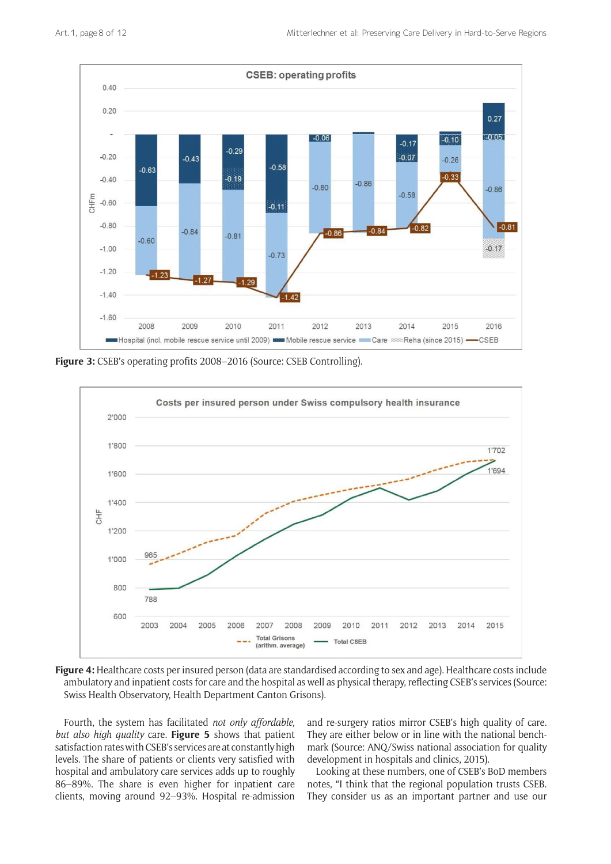

**Figure 3:** CSEB's operating profits 2008–2016 (Source: CSEB Controlling).



**Figure 4:** Healthcare costs per insured person (data are standardised according to sex and age). Healthcare costs include ambulatory and inpatient costs for care and the hospital as well as physical therapy, reflecting CSEB's services (Source: Swiss Health Observatory, Health Department Canton Grisons).

Fourth, the system has facilitated *not only affordable, but also high quality* care. **Figure 5** shows that patient satisfaction rates with CSEB's services are at constantly high levels. The share of patients or clients very satisfied with hospital and ambulatory care services adds up to roughly 86–89%. The share is even higher for inpatient care clients, moving around 92–93%. Hospital re-admission

and re-surgery ratios mirror CSEB's high quality of care. They are either below or in line with the national benchmark (Source: ANQ/Swiss national association for quality development in hospitals and clinics, 2015).

Looking at these numbers, one of CSEB's BoD members notes, "I think that the regional population trusts CSEB. They consider us as an important partner and use our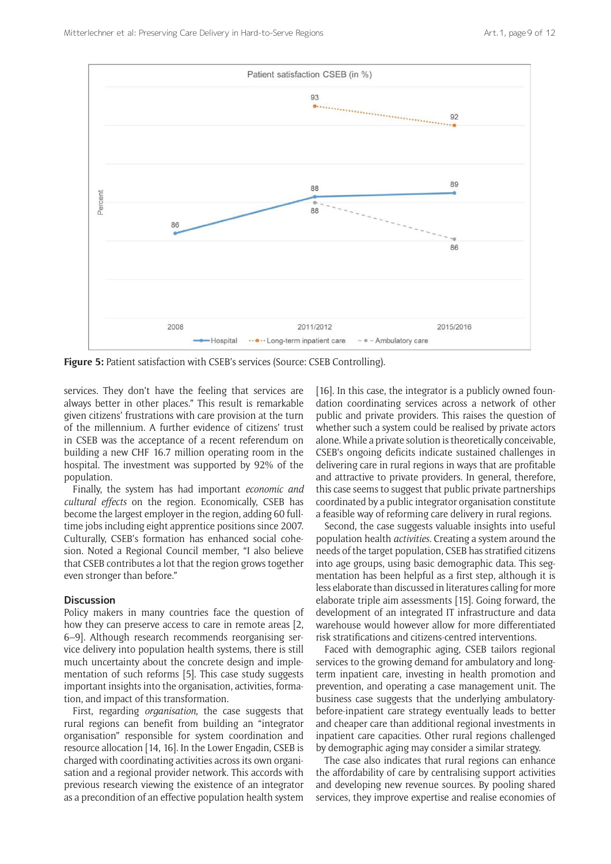

**Figure 5:** Patient satisfaction with CSEB's services (Source: CSEB Controlling).

services. They don't have the feeling that services are always better in other places." This result is remarkable given citizens' frustrations with care provision at the turn of the millennium. A further evidence of citizens' trust in CSEB was the acceptance of a recent referendum on building a new CHF 16.7 million operating room in the hospital. The investment was supported by 92% of the population.

Finally, the system has had important *economic and cultural effects* on the region. Economically, CSEB has become the largest employer in the region, adding 60 fulltime jobs including eight apprentice positions since 2007. Culturally, CSEB's formation has enhanced social cohesion. Noted a Regional Council member, "I also believe that CSEB contributes a lot that the region grows together even stronger than before."

## **Discussion**

Policy makers in many countries face the question of how they can preserve access to care in remote areas [2, 6–9]. Although research recommends reorganising service delivery into population health systems, there is still much uncertainty about the concrete design and implementation of such reforms [5]. This case study suggests important insights into the organisation, activities, formation, and impact of this transformation.

First, regarding *organisation*, the case suggests that rural regions can benefit from building an "integrator organisation" responsible for system coordination and resource allocation [14, 16]. In the Lower Engadin, CSEB is charged with coordinating activities across its own organisation and a regional provider network. This accords with previous research viewing the existence of an integrator as a precondition of an effective population health system [16]. In this case, the integrator is a publicly owned foundation coordinating services across a network of other public and private providers. This raises the question of whether such a system could be realised by private actors alone. While a private solution is theoretically conceivable, CSEB's ongoing deficits indicate sustained challenges in delivering care in rural regions in ways that are profitable and attractive to private providers. In general, therefore, this case seems to suggest that public private partnerships coordinated by a public integrator organisation constitute a feasible way of reforming care delivery in rural regions.

Second, the case suggests valuable insights into useful population health *activities*. Creating a system around the needs of the target population, CSEB has stratified citizens into age groups, using basic demographic data. This segmentation has been helpful as a first step, although it is less elaborate than discussed in literatures calling for more elaborate triple aim assessments [15]. Going forward, the development of an integrated IT infrastructure and data warehouse would however allow for more differentiated risk stratifications and citizens-centred interventions.

Faced with demographic aging, CSEB tailors regional services to the growing demand for ambulatory and longterm inpatient care, investing in health promotion and prevention, and operating a case management unit. The business case suggests that the underlying ambulatorybefore-inpatient care strategy eventually leads to better and cheaper care than additional regional investments in inpatient care capacities. Other rural regions challenged by demographic aging may consider a similar strategy.

The case also indicates that rural regions can enhance the affordability of care by centralising support activities and developing new revenue sources. By pooling shared services, they improve expertise and realise economies of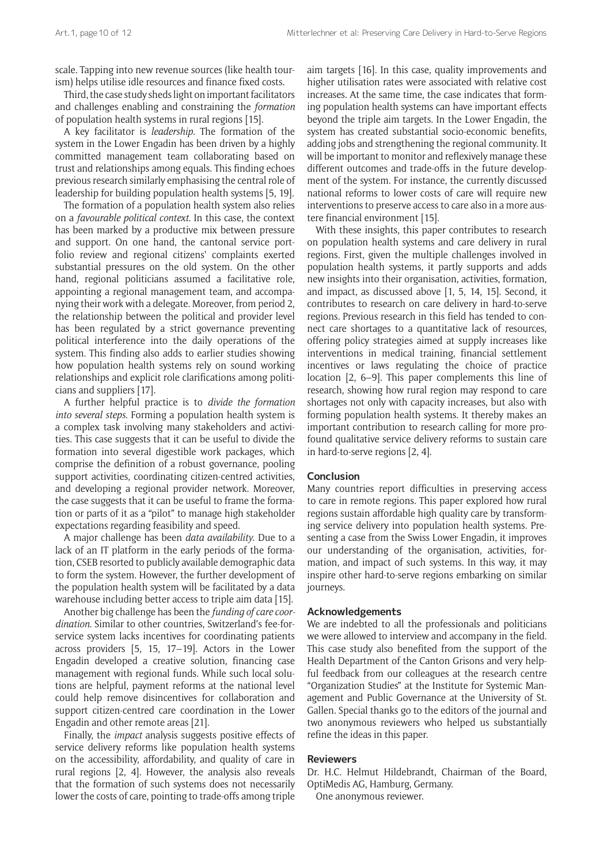scale. Tapping into new revenue sources (like health tourism) helps utilise idle resources and finance fixed costs.

Third, the case study sheds light on important facilitators and challenges enabling and constraining the *formation* of population health systems in rural regions [15].

A key facilitator is *leadership*. The formation of the system in the Lower Engadin has been driven by a highly committed management team collaborating based on trust and relationships among equals. This finding echoes previous research similarly emphasising the central role of leadership for building population health systems [5, 19].

The formation of a population health system also relies on a *favourable political context*. In this case, the context has been marked by a productive mix between pressure and support. On one hand, the cantonal service portfolio review and regional citizens' complaints exerted substantial pressures on the old system. On the other hand, regional politicians assumed a facilitative role, appointing a regional management team, and accompanying their work with a delegate. Moreover, from period 2, the relationship between the political and provider level has been regulated by a strict governance preventing political interference into the daily operations of the system. This finding also adds to earlier studies showing how population health systems rely on sound working relationships and explicit role clarifications among politicians and suppliers [17].

A further helpful practice is to *divide the formation into several steps*. Forming a population health system is a complex task involving many stakeholders and activities. This case suggests that it can be useful to divide the formation into several digestible work packages, which comprise the definition of a robust governance, pooling support activities, coordinating citizen-centred activities, and developing a regional provider network. Moreover, the case suggests that it can be useful to frame the formation or parts of it as a "pilot" to manage high stakeholder expectations regarding feasibility and speed.

A major challenge has been *data availability*. Due to a lack of an IT platform in the early periods of the formation, CSEB resorted to publicly available demographic data to form the system. However, the further development of the population health system will be facilitated by a data warehouse including better access to triple aim data [15].

Another big challenge has been the *funding of care coordination*. Similar to other countries, Switzerland's fee-forservice system lacks incentives for coordinating patients across providers [5, 15, 17–19]. Actors in the Lower Engadin developed a creative solution, financing case management with regional funds. While such local solutions are helpful, payment reforms at the national level could help remove disincentives for collaboration and support citizen-centred care coordination in the Lower Engadin and other remote areas [21].

Finally, the *impact* analysis suggests positive effects of service delivery reforms like population health systems on the accessibility, affordability, and quality of care in rural regions [2, 4]. However, the analysis also reveals that the formation of such systems does not necessarily lower the costs of care, pointing to trade-offs among triple

aim targets [16]. In this case, quality improvements and higher utilisation rates were associated with relative cost increases. At the same time, the case indicates that forming population health systems can have important effects beyond the triple aim targets. In the Lower Engadin, the system has created substantial socio-economic benefits, adding jobs and strengthening the regional community. It will be important to monitor and reflexively manage these different outcomes and trade-offs in the future development of the system. For instance, the currently discussed national reforms to lower costs of care will require new interventions to preserve access to care also in a more austere financial environment [15].

With these insights, this paper contributes to research on population health systems and care delivery in rural regions. First, given the multiple challenges involved in population health systems, it partly supports and adds new insights into their organisation, activities, formation, and impact, as discussed above [1, 5, 14, 15]. Second, it contributes to research on care delivery in hard-to-serve regions. Previous research in this field has tended to connect care shortages to a quantitative lack of resources, offering policy strategies aimed at supply increases like interventions in medical training, financial settlement incentives or laws regulating the choice of practice location [2, 6–9]. This paper complements this line of research, showing how rural region may respond to care shortages not only with capacity increases, but also with forming population health systems. It thereby makes an important contribution to research calling for more profound qualitative service delivery reforms to sustain care in hard-to-serve regions [2, 4].

#### **Conclusion**

Many countries report difficulties in preserving access to care in remote regions. This paper explored how rural regions sustain affordable high quality care by transforming service delivery into population health systems. Presenting a case from the Swiss Lower Engadin, it improves our understanding of the organisation, activities, formation, and impact of such systems. In this way, it may inspire other hard-to-serve regions embarking on similar journeys.

#### **Acknowledgements**

We are indebted to all the professionals and politicians we were allowed to interview and accompany in the field. This case study also benefited from the support of the Health Department of the Canton Grisons and very helpful feedback from our colleagues at the research centre "Organization Studies" at the Institute for Systemic Management and Public Governance at the University of St. Gallen. Special thanks go to the editors of the journal and two anonymous reviewers who helped us substantially refine the ideas in this paper.

#### **Reviewers**

Dr. H.C. Helmut Hildebrandt, Chairman of the Board, OptiMedis AG, Hamburg, Germany.

One anonymous reviewer.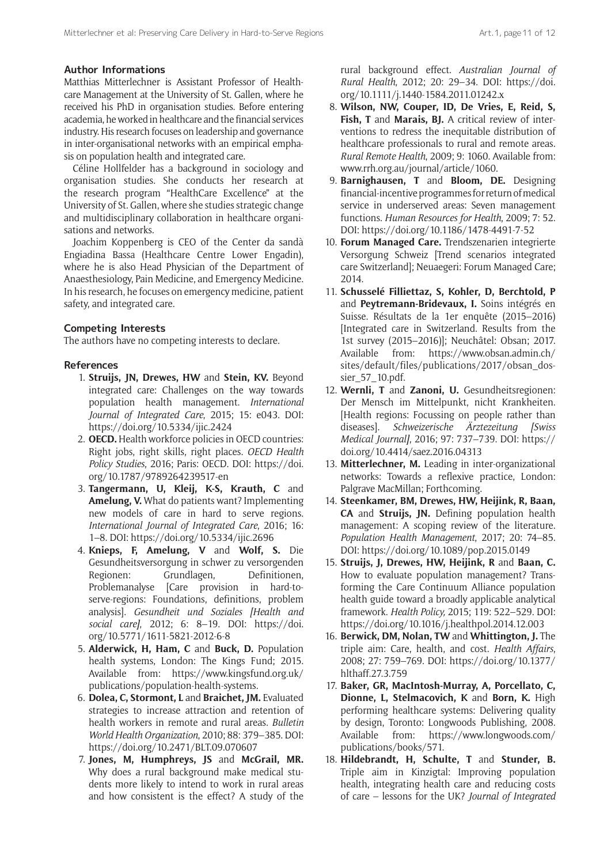## **Author Informations**

Matthias Mitterlechner is Assistant Professor of Healthcare Management at the University of St. Gallen, where he received his PhD in organisation studies. Before entering academia, he worked in healthcare and the financial services industry. His research focuses on leadership and governance in inter-organisational networks with an empirical emphasis on population health and integrated care.

Céline Hollfelder has a background in sociology and organisation studies. She conducts her research at the research program "HealthCare Excellence" at the University of St. Gallen, where she studies strategic change and multidisciplinary collaboration in healthcare organisations and networks.

Joachim Koppenberg is CEO of the Center da sandà Engiadina Bassa (Healthcare Centre Lower Engadin), where he is also Head Physician of the Department of Anaesthesiology, Pain Medicine, and Emergency Medicine. In his research, he focuses on emergency medicine, patient safety, and integrated care.

#### **Competing Interests**

The authors have no competing interests to declare.

#### **References**

- 1. **Struijs, JN, Drewes, HW** and **Stein, KV.** Beyond integrated care: Challenges on the way towards population health management. *International Journal of Integrated Care*, 2015; 15: e043. DOI: <https://doi.org/10.5334/ijic.2424>
- 2. **OECD.** Health workforce policies in OECD countries: Right jobs, right skills, right places. *OECD Health Policy Studies*, 2016; Paris: OECD. DOI: [https://doi.](https://doi.org/10.1787/9789264239517-en) [org/10.1787/9789264239517-en](https://doi.org/10.1787/9789264239517-en)
- 3. **Tangermann, U, Kleij, K-S, Krauth, C** and **Amelung, V.** What do patients want? Implementing new models of care in hard to serve regions. *International Journal of Integrated Care*, 2016; 16: 1–8. DOI: <https://doi.org/10.5334/ijic.2696>
- 4. **Knieps, F, Amelung, V** and **Wolf, S.** Die Gesundheitsversorgung in schwer zu versorgenden Regionen: Grundlagen, Definitionen, Problemanalyse [Care provision in hard-toserve-regions: Foundations, definitions, problem analysis]. *Gesundheit und Soziales [Health and social care]*, 2012; 6: 8–19. DOI: [https://doi.](https://doi.org/10.5771/1611-5821-2012-6-8) [org/10.5771/1611-5821-2012-6-8](https://doi.org/10.5771/1611-5821-2012-6-8)
- 5. **Alderwick, H, Ham, C** and **Buck, D.** Population health systems, London: The Kings Fund; 2015. Available from: [https://www.kingsfund.org.uk/](https://www.kingsfund.org.uk/publications/population-health-systems) [publications/population-health-systems.](https://www.kingsfund.org.uk/publications/population-health-systems)
- 6. **Dolea, C, Stormont, L** and **Braichet, JM.** Evaluated strategies to increase attraction and retention of health workers in remote and rural areas. *Bulletin World Health Organization*, 2010; 88: 379–385. DOI: <https://doi.org/10.2471/BLT.09.070607>
- 7. **Jones, M, Humphreys, JS** and **McGrail, MR.** Why does a rural background make medical students more likely to intend to work in rural areas and how consistent is the effect? A study of the

rural background effect. *Australian Journal of Rural Health*, 2012; 20: 29–34. DOI: [https://doi.](https://doi.org/10.1111/j.1440-1584.2011.01242.x) [org/10.1111/j.1440-1584.2011.01242.x](https://doi.org/10.1111/j.1440-1584.2011.01242.x)

- 8. **Wilson, NW, Couper, ID, De Vries, E, Reid, S, Fish, T** and **Marais, BJ.** A critical review of interventions to redress the inequitable distribution of healthcare professionals to rural and remote areas. *Rural Remote Health*, 2009; 9: 1060. Available from: [www.rrh.org.au/journal/article/1060](http://www.rrh.org.au/journal/article/1060).
- 9. **Barnighausen, T** and **Bloom, DE.** Designing financial-incentive programmes for return of medical service in underserved areas: Seven management functions. *Human Resources for Health*, 2009; 7: 52. DOI: <https://doi.org/10.1186/1478-4491-7-52>
- 10. **Forum Managed Care.** Trendszenarien integrierte Versorgung Schweiz [Trend scenarios integrated care Switzerland]; Neuaegeri: Forum Managed Care; 2014.
- 11. **Schusselé Filliettaz, S, Kohler, D, Berchtold, P**  and **Peytremann-Bridevaux, I.** Soins intégrés en Suisse. Résultats de la 1er enquête (2015–2016) [Integrated care in Switzerland. Results from the 1st survey (2015–2016)]; Neuchâtel: Obsan; 2017. Available from: [https://www.obsan.admin.ch/](https://www.obsan.admin.ch/sites/default/files/publications/2017/obsan_dossier_57_10.pdf) [sites/default/files/publications/2017/obsan\\_dos](https://www.obsan.admin.ch/sites/default/files/publications/2017/obsan_dossier_57_10.pdf)[sier\\_57\\_10.pdf.](https://www.obsan.admin.ch/sites/default/files/publications/2017/obsan_dossier_57_10.pdf)
- 12. **Wernli, T** and **Zanoni, U.** Gesundheitsregionen: Der Mensch im Mittelpunkt, nicht Krankheiten. [Health regions: Focussing on people rather than diseases]. *Schweizerische Ärztezeitung [Swiss Medical Journal]*, 2016; 97: 737–739. DOI: [https://](https://doi.org/10.4414/saez.2016.04313) [doi.org/10.4414/saez.2016.04313](https://doi.org/10.4414/saez.2016.04313)
- 13. **Mitterlechner, M.** Leading in inter-organizational networks: Towards a reflexive practice, London: Palgrave MacMillan; Forthcoming.
- 14. **Steenkamer, BM, Drewes, HW, Heijink, R, Baan, CA** and **Struijs, JN.** Defining population health management: A scoping review of the literature. *Population Health Management*, 2017; 20: 74–85. DOI: <https://doi.org/10.1089/pop.2015.0149>
- 15. **Struijs, J, Drewes, HW, Heijink, R** and **Baan, C.** How to evaluate population management? Transforming the Care Continuum Alliance population health guide toward a broadly applicable analytical framework. *Health Policy,* 2015; 119: 522–529. DOI: <https://doi.org/10.1016/j.healthpol.2014.12.003>
- 16. **Berwick, DM, Nolan, TW** and **Whittington, J.** The triple aim: Care, health, and cost. *Health Affairs*, 2008; 27: 759–769. DOI: [https://doi.org/10.1377/](https://doi.org/10.1377/hlthaff.27.3.759) [hlthaff.27.3.759](https://doi.org/10.1377/hlthaff.27.3.759)
- 17. **Baker, GR, MacIntosh-Murray, A, Porcellato, C, Dionne, L, Stelmacovich, K** and **Born, K.** High performing healthcare systems: Delivering quality by design, Toronto: Longwoods Publishing, 2008. Available from: [https://www.longwoods.com/](https://www.longwoods.com/publications/books/571) [publications/books/571.](https://www.longwoods.com/publications/books/571)
- 18. **Hildebrandt, H, Schulte, T** and **Stunder, B.** Triple aim in Kinzigtal: Improving population health, integrating health care and reducing costs of care – lessons for the UK? *Journal of Integrated*